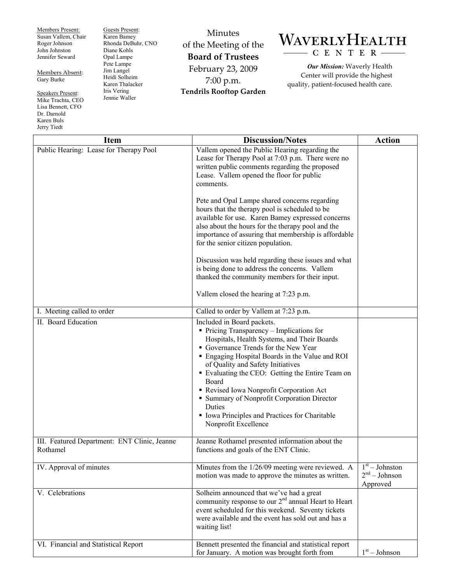Members Present: Susan Vallem, Chair Roger Johnson John Johnston Jennifer Seward

Members Absent: Gary Burke

Speakers Present: Mike Trachta, CEO Lisa Bennett, CFO Dr. Darnold Karen Buls Jerry Tiedt

Guests Present: Karen Bamey Rhonda DeBuhr, CNO Diane Kohls Opal Lampe Pete Lampe Jim Langel Heidi Solheim Karen Thalacker Iris Vering Jennie Waller

Minutes of the Meeting of the **Board of Trustees**  February 23, 2009 7:00 p.m. **Tendrils Rooftop Garden** 

## WAVERLYHEALTH - C E N T E R

*Our Mission:* Waverly Health Center will provide the highest quality, patient-focused health care.

| <b>Item</b>                                              | <b>Discussion/Notes</b>                                                                                                                                                                                                                                                                                                                                                                                                                                                                                   | <b>Action</b>                                   |
|----------------------------------------------------------|-----------------------------------------------------------------------------------------------------------------------------------------------------------------------------------------------------------------------------------------------------------------------------------------------------------------------------------------------------------------------------------------------------------------------------------------------------------------------------------------------------------|-------------------------------------------------|
| Public Hearing: Lease for Therapy Pool                   | Vallem opened the Public Hearing regarding the<br>Lease for Therapy Pool at 7:03 p.m. There were no<br>written public comments regarding the proposed<br>Lease. Vallem opened the floor for public<br>comments.                                                                                                                                                                                                                                                                                           |                                                 |
|                                                          | Pete and Opal Lampe shared concerns regarding<br>hours that the therapy pool is scheduled to be<br>available for use. Karen Bamey expressed concerns<br>also about the hours for the therapy pool and the<br>importance of assuring that membership is affordable<br>for the senior citizen population.                                                                                                                                                                                                   |                                                 |
|                                                          | Discussion was held regarding these issues and what<br>is being done to address the concerns. Vallem<br>thanked the community members for their input.                                                                                                                                                                                                                                                                                                                                                    |                                                 |
|                                                          | Vallem closed the hearing at 7:23 p.m.                                                                                                                                                                                                                                                                                                                                                                                                                                                                    |                                                 |
| I. Meeting called to order                               | Called to order by Vallem at 7:23 p.m.                                                                                                                                                                                                                                                                                                                                                                                                                                                                    |                                                 |
| II. Board Education                                      | Included in Board packets.<br>$\blacksquare$ Pricing Transparency – Implications for<br>Hospitals, Health Systems, and Their Boards<br>Governance Trends for the New Year<br>• Engaging Hospital Boards in the Value and ROI<br>of Quality and Safety Initiatives<br>" Evaluating the CEO: Getting the Entire Team on<br>Board<br>Revised Iowa Nonprofit Corporation Act<br>• Summary of Nonprofit Corporation Director<br>Duties<br>Iowa Principles and Practices for Charitable<br>Nonprofit Excellence |                                                 |
| III. Featured Department: ENT Clinic, Jeanne<br>Rothamel | Jeanne Rothamel presented information about the<br>functions and goals of the ENT Clinic.                                                                                                                                                                                                                                                                                                                                                                                                                 |                                                 |
| IV. Approval of minutes                                  | Minutes from the 1/26/09 meeting were reviewed. A<br>motion was made to approve the minutes as written.                                                                                                                                                                                                                                                                                                                                                                                                   | $1st - Johnston$<br>$2nd - Johnson$<br>Approved |
| V. Celebrations                                          | Solheim announced that we've had a great<br>community response to our $2nd$ annual Heart to Heart<br>event scheduled for this weekend. Seventy tickets<br>were available and the event has sold out and has a<br>waiting list!                                                                                                                                                                                                                                                                            |                                                 |
| VI. Financial and Statistical Report                     | Bennett presented the financial and statistical report<br>for January. A motion was brought forth from                                                                                                                                                                                                                                                                                                                                                                                                    | $1st - Johnson$                                 |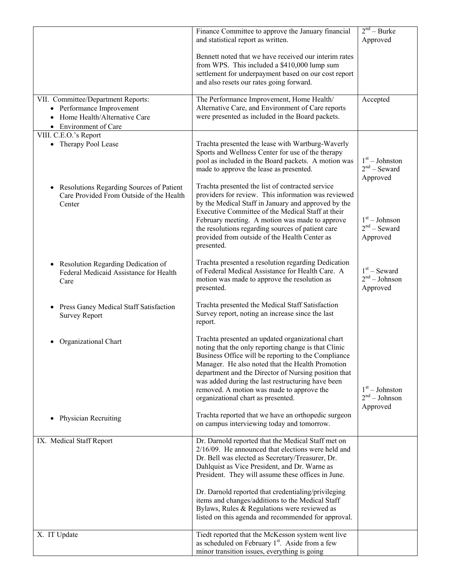|                                                                                                                            | Finance Committee to approve the January financial<br>and statistical report as written.                                                                                                                                                                                                                                                                                                                                                                                                 | 2 <sup>nd</sup> – Burke<br>Approved             |
|----------------------------------------------------------------------------------------------------------------------------|------------------------------------------------------------------------------------------------------------------------------------------------------------------------------------------------------------------------------------------------------------------------------------------------------------------------------------------------------------------------------------------------------------------------------------------------------------------------------------------|-------------------------------------------------|
|                                                                                                                            | Bennett noted that we have received our interim rates<br>from WPS. This included a \$410,000 lump sum<br>settlement for underpayment based on our cost report<br>and also resets our rates going forward.                                                                                                                                                                                                                                                                                |                                                 |
| VII. Committee/Department Reports:<br>• Performance Improvement<br>• Home Health/Alternative Care<br>• Environment of Care | The Performance Improvement, Home Health/<br>Alternative Care, and Environment of Care reports<br>were presented as included in the Board packets.                                                                                                                                                                                                                                                                                                                                       | Accepted                                        |
| VIII. C.E.O.'s Report<br>• Therapy Pool Lease                                                                              | Trachta presented the lease with Wartburg-Waverly<br>Sports and Wellness Center for use of the therapy<br>pool as included in the Board packets. A motion was<br>made to approve the lease as presented.                                                                                                                                                                                                                                                                                 | $1st - Johnston$<br>$2nd$ – Seward<br>Approved  |
| Resolutions Regarding Sources of Patient<br>$\bullet$<br>Care Provided From Outside of the Health<br>Center                | Trachta presented the list of contracted service<br>providers for review. This information was reviewed<br>by the Medical Staff in January and approved by the<br>Executive Committee of the Medical Staff at their<br>February meeting. A motion was made to approve<br>the resolutions regarding sources of patient care<br>provided from outside of the Health Center as<br>presented.                                                                                                | $1st - Johnson$<br>$2nd$ – Seward<br>Approved   |
| • Resolution Regarding Dedication of<br>Federal Medicaid Assistance for Health<br>Care                                     | Trachta presented a resolution regarding Dedication<br>of Federal Medical Assistance for Health Care. A<br>motion was made to approve the resolution as<br>presented.                                                                                                                                                                                                                                                                                                                    | $1st$ – Seward<br>$2nd - Johnson$<br>Approved   |
| Press Ganey Medical Staff Satisfaction<br><b>Survey Report</b>                                                             | Trachta presented the Medical Staff Satisfaction<br>Survey report, noting an increase since the last<br>report.                                                                                                                                                                                                                                                                                                                                                                          |                                                 |
| Organizational Chart                                                                                                       | Trachta presented an updated organizational chart<br>noting that the only reporting change is that Clinic<br>Business Office will be reporting to the Compliance<br>Manager. He also noted that the Health Promotion<br>department and the Director of Nursing position that<br>was added during the last restructuring have been<br>removed. A motion was made to approve the<br>organizational chart as presented.                                                                     | $1st - Johnston$<br>$2nd - Johnson$<br>Approved |
| <b>Physician Recruiting</b>                                                                                                | Trachta reported that we have an orthopedic surgeon<br>on campus interviewing today and tomorrow.                                                                                                                                                                                                                                                                                                                                                                                        |                                                 |
| IX. Medical Staff Report                                                                                                   | Dr. Darnold reported that the Medical Staff met on<br>$2/16/09$ . He announced that elections were held and<br>Dr. Bell was elected as Secretary/Treasurer, Dr.<br>Dahlquist as Vice President, and Dr. Warne as<br>President. They will assume these offices in June.<br>Dr. Darnold reported that credentialing/privileging<br>items and changes/additions to the Medical Staff<br>Bylaws, Rules & Regulations were reviewed as<br>listed on this agenda and recommended for approval. |                                                 |
| X. IT Update                                                                                                               | Tiedt reported that the McKesson system went live<br>as scheduled on February 1 <sup>st</sup> . Aside from a few<br>minor transition issues, everything is going                                                                                                                                                                                                                                                                                                                         |                                                 |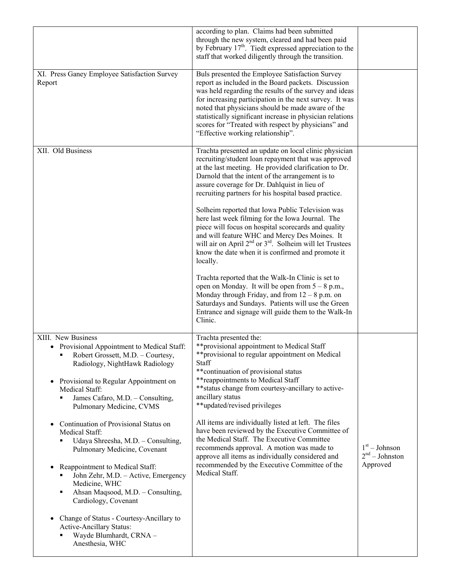|                                                                                                                                                                                                                                                                                                                                                                                                                                                                                                                                                                                                                                                                                                                                       | according to plan. Claims had been submitted<br>through the new system, cleared and had been paid<br>by February $17th$ . Tiedt expressed appreciation to the<br>staff that worked diligently through the transition.                                                                                                                                                                                                                                                                                                                                                                                                                                                                    |                                                 |
|---------------------------------------------------------------------------------------------------------------------------------------------------------------------------------------------------------------------------------------------------------------------------------------------------------------------------------------------------------------------------------------------------------------------------------------------------------------------------------------------------------------------------------------------------------------------------------------------------------------------------------------------------------------------------------------------------------------------------------------|------------------------------------------------------------------------------------------------------------------------------------------------------------------------------------------------------------------------------------------------------------------------------------------------------------------------------------------------------------------------------------------------------------------------------------------------------------------------------------------------------------------------------------------------------------------------------------------------------------------------------------------------------------------------------------------|-------------------------------------------------|
| XI. Press Ganey Employee Satisfaction Survey<br>Report                                                                                                                                                                                                                                                                                                                                                                                                                                                                                                                                                                                                                                                                                | Buls presented the Employee Satisfaction Survey<br>report as included in the Board packets. Discussion<br>was held regarding the results of the survey and ideas<br>for increasing participation in the next survey. It was<br>noted that physicians should be made aware of the<br>statistically significant increase in physician relations<br>scores for "Treated with respect by physicians" and<br>"Effective working relationship".                                                                                                                                                                                                                                                |                                                 |
| XII. Old Business                                                                                                                                                                                                                                                                                                                                                                                                                                                                                                                                                                                                                                                                                                                     | Trachta presented an update on local clinic physician<br>recruiting/student loan repayment that was approved<br>at the last meeting. He provided clarification to Dr.<br>Darnold that the intent of the arrangement is to<br>assure coverage for Dr. Dahlquist in lieu of<br>recruiting partners for his hospital based practice.<br>Solheim reported that Iowa Public Television was<br>here last week filming for the Iowa Journal. The<br>piece will focus on hospital scorecards and quality<br>and will feature WHC and Mercy Des Moines. It<br>will air on April $2^{nd}$ or $3^{rd}$ . Solheim will let Trustees<br>know the date when it is confirmed and promote it<br>locally. |                                                 |
|                                                                                                                                                                                                                                                                                                                                                                                                                                                                                                                                                                                                                                                                                                                                       | Trachta reported that the Walk-In Clinic is set to<br>open on Monday. It will be open from $5 - 8$ p.m.,<br>Monday through Friday, and from $12 - 8$ p.m. on<br>Saturdays and Sundays. Patients will use the Green<br>Entrance and signage will guide them to the Walk-In<br>Clinic.                                                                                                                                                                                                                                                                                                                                                                                                     |                                                 |
| XIII. New Business<br>Provisional Appointment to Medical Staff:<br>Robert Grossett, M.D. - Courtesy,<br>Radiology, NightHawk Radiology<br>Provisional to Regular Appointment on<br>$\bullet$<br>Medical Staff:<br>James Cafaro, M.D. - Consulting,<br>Pulmonary Medicine, CVMS<br>Continuation of Provisional Status on<br>٠<br>Medical Staff:<br>Udaya Shreesha, M.D. - Consulting,<br>Pulmonary Medicine, Covenant<br>Reappointment to Medical Staff:<br>$\bullet$<br>John Zehr, M.D. - Active, Emergency<br>٠<br>Medicine, WHC<br>Ahsan Maqsood, M.D. - Consulting,<br>٠<br>Cardiology, Covenant<br>Change of Status - Courtesy-Ancillary to<br>٠<br><b>Active-Ancillary Status:</b><br>Wayde Blumhardt, CRNA -<br>Anesthesia, WHC | Trachta presented the:<br>** provisional appointment to Medical Staff<br>** provisional to regular appointment on Medical<br>Staff<br>** continuation of provisional status<br>** reappointments to Medical Staff<br>** status change from courtesy-ancillary to active-<br>ancillary status<br>**updated/revised privileges<br>All items are individually listed at left. The files<br>have been reviewed by the Executive Committee of<br>the Medical Staff. The Executive Committee<br>recommends approval. A motion was made to<br>approve all items as individually considered and<br>recommended by the Executive Committee of the<br>Medical Staff.                               | $1st - Johnson$<br>$2nd - Johnston$<br>Approved |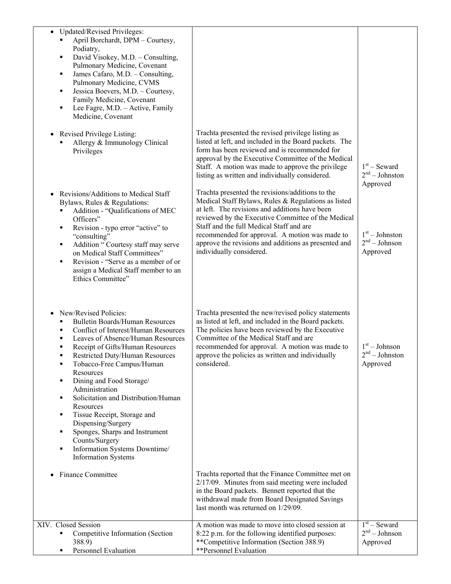| <b>Updated/Revised Privileges:</b><br>$\bullet$<br>April Borchardt, DPM - Courtesy,<br>Podiatry,<br>David Visokey, M.D. - Consulting,<br>٠<br>Pulmonary Medicine, Covenant<br>James Cafaro, M.D. - Consulting,<br>٠<br>Pulmonary Medicine, CVMS<br>Jessica Boevers, M.D. - Courtesy,<br>٠<br>Family Medicine, Covenant<br>Lee Fagre, M.D. - Active, Family<br>٠<br>Medicine, Covenant                                                                                                                                                                                      |                                                                                                                                                                                                                                                                                                                                                                                                   |                                                        |
|----------------------------------------------------------------------------------------------------------------------------------------------------------------------------------------------------------------------------------------------------------------------------------------------------------------------------------------------------------------------------------------------------------------------------------------------------------------------------------------------------------------------------------------------------------------------------|---------------------------------------------------------------------------------------------------------------------------------------------------------------------------------------------------------------------------------------------------------------------------------------------------------------------------------------------------------------------------------------------------|--------------------------------------------------------|
| • Revised Privilege Listing:<br>Allergy & Immunology Clinical<br>Privileges                                                                                                                                                                                                                                                                                                                                                                                                                                                                                                | Trachta presented the revised privilege listing as<br>listed at left, and included in the Board packets. The<br>form has been reviewed and is recommended for<br>approval by the Executive Committee of the Medical<br>Staff. A motion was made to approve the privilege<br>listing as written and individually considered.                                                                       | $1st$ – Seward<br>$2nd - Johnston$<br>Approved         |
| Revisions/Additions to Medical Staff<br>Bylaws, Rules & Regulations:<br>Addition - "Qualifications of MEC<br>Officers"<br>Revision - typo error "active" to<br>п<br>"consulting"<br>Addition "Courtesy staff may serve<br>٠<br>on Medical Staff Committees"<br>Revision - "Serve as a member of or<br>assign a Medical Staff member to an<br>Ethics Committee"                                                                                                                                                                                                             | Trachta presented the revisions/additions to the<br>Medical Staff Bylaws, Rules & Regulations as listed<br>at left. The revisions and additions have been<br>reviewed by the Executive Committee of the Medical<br>Staff and the full Medical Staff and are<br>recommended for approval. A motion was made to<br>approve the revisions and additions as presented and<br>individually considered. | $1st - Johnston$<br>$2nd - Johnson$<br>Approved        |
| New/Revised Policies:<br>٠<br><b>Bulletin Boards/Human Resources</b><br>Conflict of Interest/Human Resources<br>Leaves of Absence/Human Resources<br>Receipt of Gifts/Human Resources<br>Restricted Duty/Human Resources<br>Tobacco-Free Campus/Human<br>٠<br>Resources<br>Dining and Food Storage/<br>٠<br>Administration<br>Solicitation and Distribution/Human<br>٠<br>Resources<br>Tissue Receipt, Storage and<br>٠<br>Dispensing/Surgery<br>Sponges, Sharps and Instrument<br>п<br>Counts/Surgery<br>Information Systems Downtime/<br>٠<br><b>Information Systems</b> | Trachta presented the new/revised policy statements<br>as listed at left, and included in the Board packets.<br>The policies have been reviewed by the Executive<br>Committee of the Medical Staff and are<br>recommended for approval. A motion was made to<br>approve the policies as written and individually<br>considered.                                                                   | $1st - Johnson$<br>$2^{\rm nd}$ – Johnston<br>Approved |
| Finance Committee                                                                                                                                                                                                                                                                                                                                                                                                                                                                                                                                                          | Trachta reported that the Finance Committee met on<br>$2/17/09$ . Minutes from said meeting were included<br>in the Board packets. Bennett reported that the<br>withdrawal made from Board Designated Savings<br>last month was returned on 1/29/09.                                                                                                                                              |                                                        |
| XIV. Closed Session<br>Competitive Information (Section<br>388.9)<br>Personnel Evaluation                                                                                                                                                                                                                                                                                                                                                                                                                                                                                  | A motion was made to move into closed session at<br>8:22 p.m. for the following identified purposes:<br>**Competitive Information (Section 388.9)<br>**Personnel Evaluation                                                                                                                                                                                                                       | $1st$ – Seward<br>$2nd - Johnson$<br>Approved          |